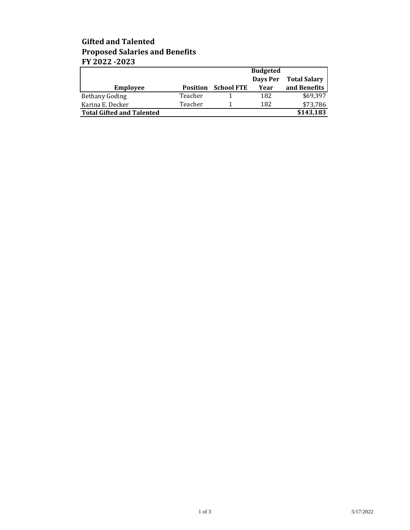## **Gifted and Talented Proposed Salaries and Benefits FY 2022 -2023**

|                                  |                 |                   | <b>Budgeted</b> |                     |
|----------------------------------|-----------------|-------------------|-----------------|---------------------|
|                                  |                 |                   | Days Per        | <b>Total Salary</b> |
| <b>Employee</b>                  | <b>Position</b> | <b>School FTE</b> | Year            | and Benefits        |
| <b>Bethany Goding</b>            | Teacher         |                   | 182             | \$69,397            |
| Karina E. Decker                 | Teacher         |                   | 182             | \$73,786            |
| <b>Total Gifted and Talented</b> |                 |                   |                 | \$143,183           |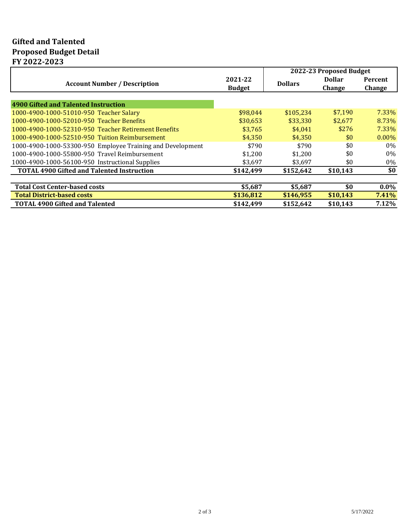## **Gifted and Talented Proposed Budget Detail FY 2022-2023**

|                                                            |               | 2022-23 Proposed Budget |               |          |
|------------------------------------------------------------|---------------|-------------------------|---------------|----------|
|                                                            | 2021-22       |                         | <b>Dollar</b> | Percent  |
| <b>Account Number / Description</b>                        | <b>Budget</b> | <b>Dollars</b>          | <b>Change</b> | Change   |
|                                                            |               |                         |               |          |
| 4900 Gifted and Talented Instruction                       |               |                         |               |          |
| 1000-4900-1000-51010-950 Teacher Salary                    | \$98,044      | \$105.234               | \$7.190       | $7.33\%$ |
| 1000-4900-1000-52010-950 Teacher Benefits                  | \$30,653      | \$33.330                | \$2.677       | 8.73%    |
| 1000-4900-1000-52310-950 Teacher Retirement Benefits       | \$3,765       | \$4,041                 | \$276         | 7.33%    |
| 1000-4900-1000-52510-950 Tuition Reimbursement             | \$4,350       | \$4,350                 | \$0           | $0.00\%$ |
| 1000-4900-1000-53300-950 Employee Training and Development | \$790         | \$790                   | \$0           | $0\%$    |
| 1000-4900-1000-55800-950 Travel Reimbursement              | \$1,200       | \$1,200                 | \$0           | $0\%$    |
| 1000-4900-1000-56100-950 Instructional Supplies            | \$3,697       | \$3,697                 | \$0           | 0%       |
| <b>TOTAL 4900 Gifted and Talented Instruction</b>          | \$142,499     | \$152,642               | \$10,143      | \$0      |
|                                                            |               |                         |               |          |
| <b>Total Cost Center-based costs</b>                       | \$5,687       | \$5,687                 | \$0           | $0.0\%$  |
| <b>Total District-based costs</b>                          | \$136,812     | \$146,955               | \$10,143      | 7.41%    |
| <b>TOTAL 4900 Gifted and Talented</b>                      | \$142,499     | \$152,642               | \$10,143      | 7.12%    |